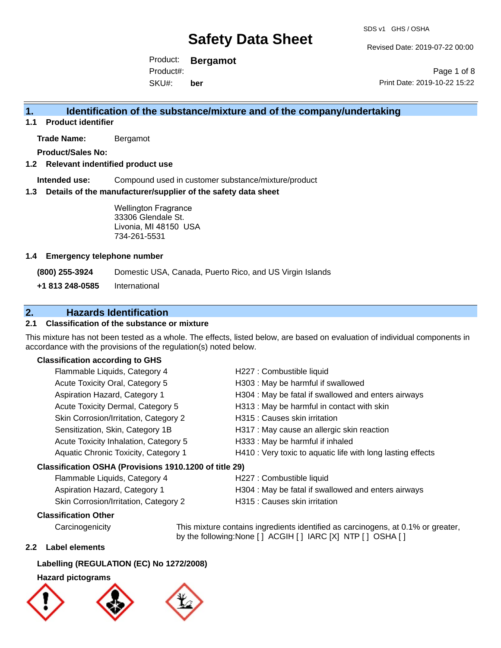Revised Date: 2019-07-22 00:00

Product: **Bergamot** SKU#: Product#: **ber**

Page 1 of 8 Print Date: 2019-10-22 15:22

### **1. Identification of the substance/mixture and of the company/undertaking**

**1.1 Product identifier**

**Trade Name:** Bergamot

**Product/Sales No:**

### **1.2 Relevant indentified product use**

**Intended use:** Compound used in customer substance/mixture/product

### **1.3 Details of the manufacturer/supplier of the safety data sheet**

Wellington Fragrance 33306 Glendale St. Livonia, MI 48150 USA 734-261-5531

### **1.4 Emergency telephone number**

**(800) 255-3924** Domestic USA, Canada, Puerto Rico, and US Virgin Islands

**+1 813 248-0585** International

### **2. Hazards Identification**

### **2.1 Classification of the substance or mixture**

This mixture has not been tested as a whole. The effects, listed below, are based on evaluation of individual components in accordance with the provisions of the regulation(s) noted below.

### **Classification according to GHS**

| Flammable Liquids, Category 4                          | H227 : Combustible liquid                                                                                                                                                                                                     |
|--------------------------------------------------------|-------------------------------------------------------------------------------------------------------------------------------------------------------------------------------------------------------------------------------|
| Acute Toxicity Oral, Category 5                        | H303 : May be harmful if swallowed                                                                                                                                                                                            |
| Aspiration Hazard, Category 1                          | H304 : May be fatal if swallowed and enters airways                                                                                                                                                                           |
| Acute Toxicity Dermal, Category 5                      | H313 : May be harmful in contact with skin                                                                                                                                                                                    |
| Skin Corrosion/Irritation, Category 2                  | H315 : Causes skin irritation                                                                                                                                                                                                 |
| Sensitization, Skin, Category 1B                       | H317 : May cause an allergic skin reaction                                                                                                                                                                                    |
| Acute Toxicity Inhalation, Category 5                  | H333: May be harmful if inhaled                                                                                                                                                                                               |
| Aquatic Chronic Toxicity, Category 1                   | H410 : Very toxic to aquatic life with long lasting effects                                                                                                                                                                   |
| Classification OSHA (Provisions 1910.1200 of title 29) |                                                                                                                                                                                                                               |
| Flammable Liquids, Category 4                          | H227 : Combustible liquid                                                                                                                                                                                                     |
|                                                        | . The contract of the contract of the contract of the contract of the contract of the contract of the contract of the contract of the contract of the contract of the contract of the contract of the contract of the contrac |

| Flammable Liquids, Category 4         | H227 : Combustible liquid                           |
|---------------------------------------|-----------------------------------------------------|
| Aspiration Hazard, Category 1         | H304 : May be fatal if swallowed and enters airways |
| Skin Corrosion/Irritation, Category 2 | H315 : Causes skin irritation                       |

### **Classification Other**

Carcinogenicity This mixture contains ingredients identified as carcinogens, at 0.1% or greater, by the following:None [ ] ACGIH [ ] IARC [X] NTP [ ] OSHA [ ]

### **2.2 Label elements**

### **Labelling (REGULATION (EC) No 1272/2008)**

### **Hazard pictograms**





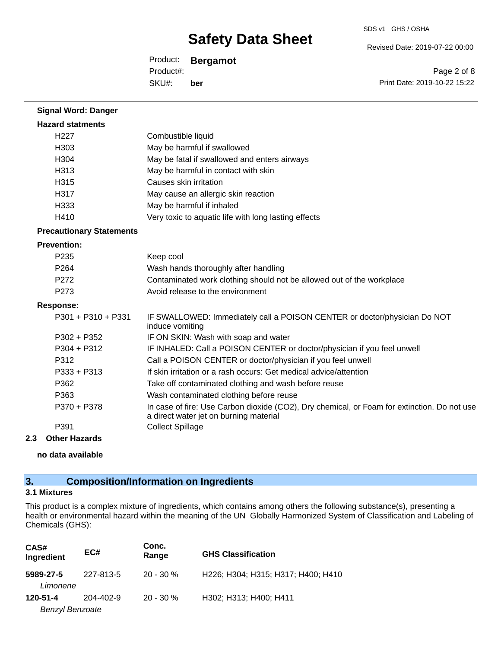Revised Date: 2019-07-22 00:00

Product: **Bergamot** SKU#: Product#: **ber**

Page 2 of 8 Print Date: 2019-10-22 15:22

| <b>Signal Word: Danger</b>      |                                                                                                                                       |
|---------------------------------|---------------------------------------------------------------------------------------------------------------------------------------|
| <b>Hazard statments</b>         |                                                                                                                                       |
| H <sub>22</sub> 7               | Combustible liquid                                                                                                                    |
| H303                            | May be harmful if swallowed                                                                                                           |
| H <sub>304</sub>                | May be fatal if swallowed and enters airways                                                                                          |
| H313                            | May be harmful in contact with skin                                                                                                   |
| H315                            | Causes skin irritation                                                                                                                |
| H317                            | May cause an allergic skin reaction                                                                                                   |
| H333                            | May be harmful if inhaled                                                                                                             |
| H410                            | Very toxic to aquatic life with long lasting effects                                                                                  |
| <b>Precautionary Statements</b> |                                                                                                                                       |
| <b>Prevention:</b>              |                                                                                                                                       |
| P <sub>235</sub>                | Keep cool                                                                                                                             |
| P264                            | Wash hands thoroughly after handling                                                                                                  |
| P272                            | Contaminated work clothing should not be allowed out of the workplace                                                                 |
| P273                            | Avoid release to the environment                                                                                                      |
| <b>Response:</b>                |                                                                                                                                       |
| $P301 + P310 + P331$            | IF SWALLOWED: Immediately call a POISON CENTER or doctor/physician Do NOT<br>induce vomiting                                          |
| $P302 + P352$                   | IF ON SKIN: Wash with soap and water                                                                                                  |
| $P304 + P312$                   | IF INHALED: Call a POISON CENTER or doctor/physician if you feel unwell                                                               |
| P312                            | Call a POISON CENTER or doctor/physician if you feel unwell                                                                           |
| $P333 + P313$                   | If skin irritation or a rash occurs: Get medical advice/attention                                                                     |
| P362                            | Take off contaminated clothing and wash before reuse                                                                                  |
| P363                            | Wash contaminated clothing before reuse                                                                                               |
| P370 + P378                     | In case of fire: Use Carbon dioxide (CO2), Dry chemical, or Foam for extinction. Do not use<br>a direct water jet on burning material |
| P391                            | <b>Collect Spillage</b>                                                                                                               |

### **2.3 Other Hazards**

**no data available**

### **3. Composition/Information on Ingredients**

### **3.1 Mixtures**

This product is a complex mixture of ingredients, which contains among others the following substance(s), presenting a health or environmental hazard within the meaning of the UN Globally Harmonized System of Classification and Labeling of Chemicals (GHS):

| CAS#<br>Ingredient     | EC#       | Conc.<br>Range | <b>GHS Classification</b>          |
|------------------------|-----------|----------------|------------------------------------|
| 5989-27-5<br>Limonene  | 227-813-5 | $20 - 30 \%$   | H226; H304; H315; H317; H400; H410 |
| 120-51-4               | 204-402-9 | $20 - 30 \%$   | H302; H313; H400; H411             |
| <b>Benzyl Benzoate</b> |           |                |                                    |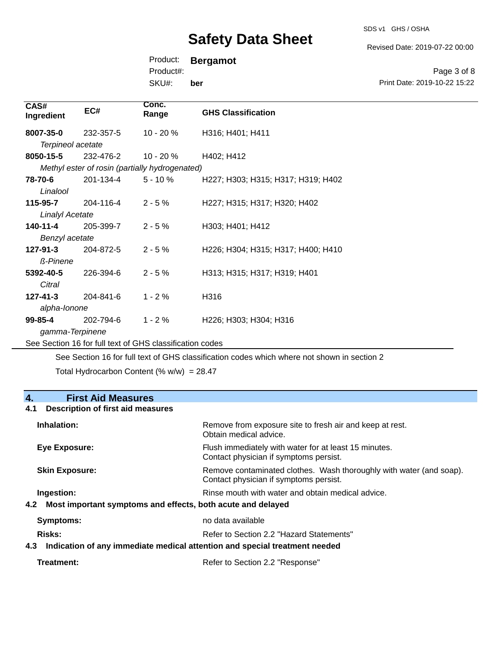SDS v1 GHS / OSHA

Revised Date: 2019-07-22 00:00

Print Date: 2019-10-22 15:22

Page 3 of 8

Product: **Bergamot**

Product#:

SKU#: **ber**

| CAS#<br>Ingredient                 | EC#       | Conc.<br>Range                                           | <b>GHS Classification</b>                                                 |
|------------------------------------|-----------|----------------------------------------------------------|---------------------------------------------------------------------------|
| 8007-35-0<br>Terpineol acetate     | 232-357-5 | 10 - 20 %                                                | H316; H401; H411                                                          |
| 8050-15-5                          | 232-476-2 | 10 - 20 %                                                | H402; H412                                                                |
|                                    |           | Methyl ester of rosin (partially hydrogenated)           |                                                                           |
| 78-70-6<br>Linalool                | 201-134-4 | $5 - 10%$                                                | H227; H303; H315; H317; H319; H402                                        |
| 115-95-7<br><b>Linalyl Acetate</b> | 204-116-4 | $2 - 5%$                                                 | H227; H315; H317; H320; H402                                              |
| 140-11-4<br>Benzyl acetate         | 205-399-7 | $2 - 5%$                                                 | H303; H401; H412                                                          |
| 127-91-3<br><b>ß-Pinene</b>        | 204-872-5 | $2 - 5%$                                                 | H226; H304; H315; H317; H400; H410                                        |
| 5392-40-5<br>Citral                | 226-394-6 | $2 - 5%$                                                 | H313; H315; H317; H319; H401                                              |
| $127 - 41 - 3$<br>alpha-lonone     | 204-841-6 | $1 - 2%$                                                 | H316                                                                      |
| $99 - 85 - 4$<br>gamma-Terpinene   | 202-794-6 | $1 - 2%$                                                 | H <sub>226</sub> ; H <sub>303</sub> ; H <sub>304</sub> ; H <sub>316</sub> |
|                                    |           | See Section 16 for full text of GHS classification codes |                                                                           |

See Section 16 for full text of GHS classification codes which where not shown in section 2

Total Hydrocarbon Content (%  $w/w$ ) = 28.47

### **4. First Aid Measures 4.1 Description of first aid measures Inhalation:** Remove from exposure site to fresh air and keep at rest. Obtain medical advice. **Eye Exposure:** Flush immediately with water for at least 15 minutes. Contact physician if symptoms persist. Skin Exposure: **Remove contaminated clothes.** Wash thoroughly with water (and soap). Contact physician if symptoms persist. **Ingestion: Rinse mouth with water and obtain medical advice. In all of the state of the Ringestian Medical advice. 4.2 Most important symptoms and effects, both acute and delayed Symptoms:** no data available **Risks:** Risks: Refer to Section 2.2 "Hazard Statements" **4.3 Indication of any immediate medical attention and special treatment needed**

| Refer to Section 2.2 "Response" |
|---------------------------------|
|                                 |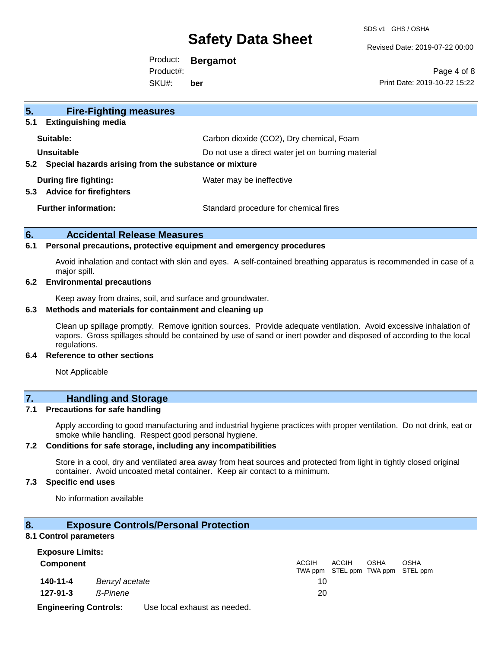SDS v1 GHS / OSHA

Revised Date: 2019-07-22 00:00

Product: **Bergamot** SKU#: Product#: **ber**

Page 4 of 8 Print Date: 2019-10-22 15:22

| 5 <sub>1</sub><br><b>Fire-Fighting measures</b>                        |                                                   |
|------------------------------------------------------------------------|---------------------------------------------------|
| <b>Extinguishing media</b><br>5.1                                      |                                                   |
| Suitable:                                                              | Carbon dioxide (CO2), Dry chemical, Foam          |
| Unsuitable                                                             | Do not use a direct water jet on burning material |
| Special hazards arising from the substance or mixture<br>$5.2^{\circ}$ |                                                   |
| During fire fighting:<br><b>Advice for firefighters</b><br>5.3         | Water may be ineffective                          |
| <b>Further information:</b>                                            | Standard procedure for chemical fires             |

### **6. Accidental Release Measures**

#### **6.1 Personal precautions, protective equipment and emergency procedures**

Avoid inhalation and contact with skin and eyes. A self-contained breathing apparatus is recommended in case of a major spill.

#### **6.2 Environmental precautions**

Keep away from drains, soil, and surface and groundwater.

#### **6.3 Methods and materials for containment and cleaning up**

Clean up spillage promptly. Remove ignition sources. Provide adequate ventilation. Avoid excessive inhalation of vapors. Gross spillages should be contained by use of sand or inert powder and disposed of according to the local regulations.

#### **6.4 Reference to other sections**

Not Applicable

### **7. Handling and Storage**

### **7.1 Precautions for safe handling**

Apply according to good manufacturing and industrial hygiene practices with proper ventilation. Do not drink, eat or smoke while handling. Respect good personal hygiene.

#### **7.2 Conditions for safe storage, including any incompatibilities**

Store in a cool, dry and ventilated area away from heat sources and protected from light in tightly closed original container. Avoid uncoated metal container. Keep air contact to a minimum.

### **7.3 Specific end uses**

No information available

### **8. Exposure Controls/Personal Protection**

#### **8.1 Control parameters**

| <b>Exposure Limits:</b>      |                |                              |              |                                            |             |             |  |
|------------------------------|----------------|------------------------------|--------------|--------------------------------------------|-------------|-------------|--|
| <b>Component</b>             |                |                              | <b>ACGIH</b> | ACGIH<br>TWA ppm STEL ppm TWA ppm STEL ppm | <b>OSHA</b> | <b>OSHA</b> |  |
| 140-11-4                     | Benzyl acetate |                              | 10           |                                            |             |             |  |
| 127-91-3                     | ß-Pinene       |                              | 20           |                                            |             |             |  |
| <b>Engineering Controls:</b> |                | Use local exhaust as needed. |              |                                            |             |             |  |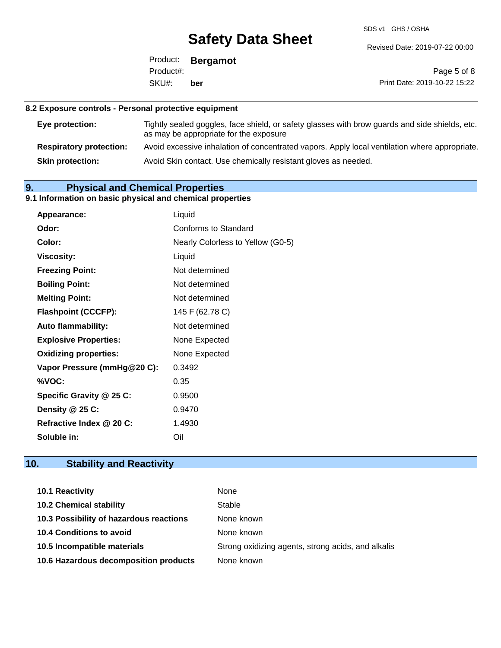SDS v1 GHS / OSHA

Revised Date: 2019-07-22 00:00

Product: **Bergamot** SKU#: Product#: **ber**

Page 5 of 8 Print Date: 2019-10-22 15:22

### **8.2 Exposure controls - Personal protective equipment**

| Eye protection:                | Tightly sealed goggles, face shield, or safety glasses with brow guards and side shields, etc.<br>as may be appropriate for the exposure |
|--------------------------------|------------------------------------------------------------------------------------------------------------------------------------------|
| <b>Respiratory protection:</b> | Avoid excessive inhalation of concentrated vapors. Apply local ventilation where appropriate.                                            |
| <b>Skin protection:</b>        | Avoid Skin contact. Use chemically resistant gloves as needed.                                                                           |

### **9. Physical and Chemical Properties**

### **9.1 Information on basic physical and chemical properties**

|                              | Liquid                            |
|------------------------------|-----------------------------------|
| <b>Appearance:</b>           |                                   |
| Odor:                        | Conforms to Standard              |
| Color:                       | Nearly Colorless to Yellow (G0-5) |
| <b>Viscosity:</b>            | Liquid                            |
| <b>Freezing Point:</b>       | Not determined                    |
| <b>Boiling Point:</b>        | Not determined                    |
| <b>Melting Point:</b>        | Not determined                    |
| <b>Flashpoint (CCCFP):</b>   | 145 F (62.78 C)                   |
| <b>Auto flammability:</b>    | Not determined                    |
| <b>Explosive Properties:</b> | None Expected                     |
| <b>Oxidizing properties:</b> | None Expected                     |
| Vapor Pressure (mmHg@20 C):  | 0.3492                            |
| %VOC:                        | 0.35                              |
| Specific Gravity @ 25 C:     | 0.9500                            |
| Density @ 25 C:              | 0.9470                            |
| Refractive Index @ 20 C:     | 1.4930                            |
| Soluble in:                  | Oil                               |

### **10. Stability and Reactivity**

| 10.1 Reactivity                         | None                                               |
|-----------------------------------------|----------------------------------------------------|
| <b>10.2 Chemical stability</b>          | Stable                                             |
| 10.3 Possibility of hazardous reactions | None known                                         |
| <b>10.4 Conditions to avoid</b>         | None known                                         |
| 10.5 Incompatible materials             | Strong oxidizing agents, strong acids, and alkalis |
| 10.6 Hazardous decomposition products   | None known                                         |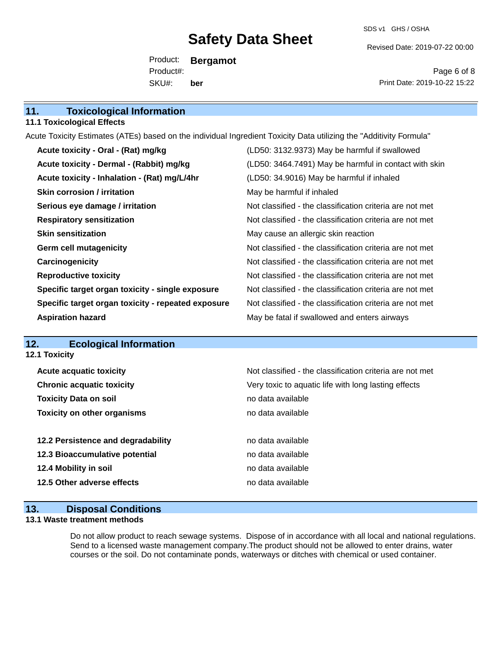SDS v1 GHS / OSHA

Revised Date: 2019-07-22 00:00

Product: **Bergamot** SKU#: Product#: **ber**

Page 6 of 8 Print Date: 2019-10-22 15:22

| 11.<br><b>Toxicological Information</b> |  |
|-----------------------------------------|--|
|-----------------------------------------|--|

### **11.1 Toxicological Effects**

Acute Toxicity Estimates (ATEs) based on the individual Ingredient Toxicity Data utilizing the "Additivity Formula" **Acute toxicity - Oral - (Rat) mg/kg** (LD50: 3132.9373) May be harmful if swallowed

| Acute toxicity - Dermal - (Rabbit) mg/kg           | (LD50: 3464.7491) May be harmful in contact with skin    |
|----------------------------------------------------|----------------------------------------------------------|
| Acute toxicity - Inhalation - (Rat) mg/L/4hr       | (LD50: 34.9016) May be harmful if inhaled                |
| <b>Skin corrosion / irritation</b>                 | May be harmful if inhaled                                |
| Serious eye damage / irritation                    | Not classified - the classification criteria are not met |
| <b>Respiratory sensitization</b>                   | Not classified - the classification criteria are not met |
| <b>Skin sensitization</b>                          | May cause an allergic skin reaction                      |
| <b>Germ cell mutagenicity</b>                      | Not classified - the classification criteria are not met |
| Carcinogenicity                                    | Not classified - the classification criteria are not met |
| <b>Reproductive toxicity</b>                       | Not classified - the classification criteria are not met |
| Specific target organ toxicity - single exposure   | Not classified - the classification criteria are not met |
| Specific target organ toxicity - repeated exposure | Not classified - the classification criteria are not met |
| <b>Aspiration hazard</b>                           | May be fatal if swallowed and enters airways             |

### **12. Ecological Information**

| Not classified - the classification criteria are not met |
|----------------------------------------------------------|
| Very toxic to aquatic life with long lasting effects     |
| no data available                                        |
| no data available                                        |
|                                                          |
| no data available                                        |
| no data available                                        |
| no data available                                        |
| no data available                                        |
|                                                          |

### **13. Disposal Conditions**

### **13.1 Waste treatment methods**

Do not allow product to reach sewage systems. Dispose of in accordance with all local and national regulations. Send to a licensed waste management company.The product should not be allowed to enter drains, water courses or the soil. Do not contaminate ponds, waterways or ditches with chemical or used container.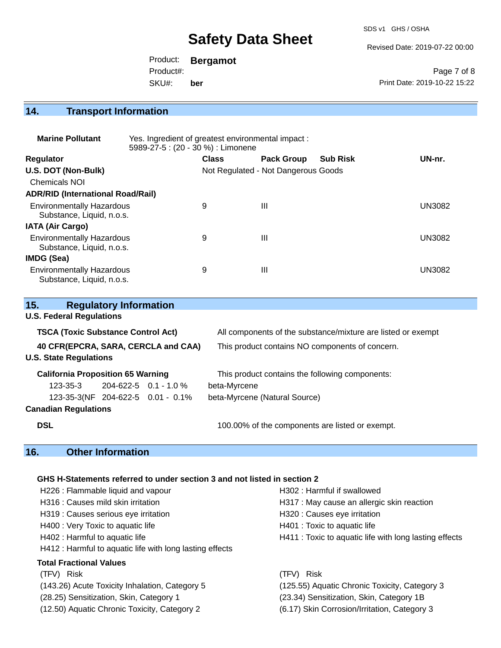SDS v1 GHS / OSHA

Revised Date: 2019-07-22 00:00

Product: **Bergamot** SKU#: Product#: **ber**

Page 7 of 8 Print Date: 2019-10-22 15:22

## **14. Transport Information**

| <b>Marine Pollutant</b>                                       | Yes. Ingredient of greatest environmental impact:<br>5989-27-5 : (20 - 30 %) : Limonene |              |                                     |                 |        |
|---------------------------------------------------------------|-----------------------------------------------------------------------------------------|--------------|-------------------------------------|-----------------|--------|
| <b>Regulator</b>                                              |                                                                                         | <b>Class</b> | <b>Pack Group</b>                   | <b>Sub Risk</b> | UN-nr. |
| U.S. DOT (Non-Bulk)                                           |                                                                                         |              | Not Regulated - Not Dangerous Goods |                 |        |
| <b>Chemicals NOI</b>                                          |                                                                                         |              |                                     |                 |        |
| <b>ADR/RID (International Road/Rail)</b>                      |                                                                                         |              |                                     |                 |        |
| <b>Environmentally Hazardous</b><br>Substance, Liquid, n.o.s. |                                                                                         | 9            | $\mathbf{III}$                      |                 | UN3082 |
| <b>IATA (Air Cargo)</b>                                       |                                                                                         |              |                                     |                 |        |
| <b>Environmentally Hazardous</b><br>Substance, Liquid, n.o.s. |                                                                                         | 9            | $\mathbf{III}$                      |                 | UN3082 |
| IMDG (Sea)                                                    |                                                                                         |              |                                     |                 |        |
| <b>Environmentally Hazardous</b><br>Substance, Liquid, n.o.s. |                                                                                         | 9            | Ш                                   |                 | UN3082 |

| 15.                                       | <b>Regulatory Information</b> |                                   |                                                              |  |
|-------------------------------------------|-------------------------------|-----------------------------------|--------------------------------------------------------------|--|
| <b>U.S. Federal Regulations</b>           |                               |                                   |                                                              |  |
| <b>TSCA (Toxic Substance Control Act)</b> |                               |                                   | All components of the substance/mixture are listed or exempt |  |
| 40 CFR(EPCRA, SARA, CERCLA and CAA)       |                               |                                   | This product contains NO components of concern.              |  |
| <b>U.S. State Regulations</b>             |                               |                                   |                                                              |  |
| <b>California Proposition 65 Warning</b>  |                               |                                   | This product contains the following components:              |  |
| 123-35-3                                  |                               | $204 - 622 - 5$ 0.1 - 1.0 %       | beta-Myrcene                                                 |  |
|                                           |                               | 123-35-3(NF 204-622-5 0.01 - 0.1% | beta-Myrcene (Natural Source)                                |  |
| <b>Canadian Regulations</b>               |                               |                                   |                                                              |  |
| <b>DSL</b>                                |                               |                                   | 100.00% of the components are listed or exempt.              |  |
|                                           |                               |                                   |                                                              |  |

### **16. Other Information**

### **GHS H-Statements referred to under section 3 and not listed in section 2**

| H226 : Flammable liquid and vapour                       | H302 : Harmful if swallowed                            |
|----------------------------------------------------------|--------------------------------------------------------|
| H316 : Causes mild skin irritation                       | H317 : May cause an allergic skin reaction             |
| H319 : Causes serious eye irritation                     | H320 : Causes eye irritation                           |
| H400 : Very Toxic to aquatic life                        | H401 : Toxic to aquatic life                           |
| H402 : Harmful to aquatic life                           | H411 : Toxic to aquatic life with long lasting effects |
| H412 : Harmful to aquatic life with long lasting effects |                                                        |
| <b>Total Fractional Values</b>                           |                                                        |
| (TFV) Risk                                               | Risk<br>(TFV).                                         |
| (143.26) Acute Toxicity Inhalation, Category 5           | (125.55) Aquatic Chronic Toxicity, Category 3          |
| (28.25) Sensitization, Skin, Category 1                  | (23.34) Sensitization, Skin, Category 1B               |
| (12.50) Aquatic Chronic Toxicity, Category 2             | (6.17) Skin Corrosion/Irritation, Category 3           |